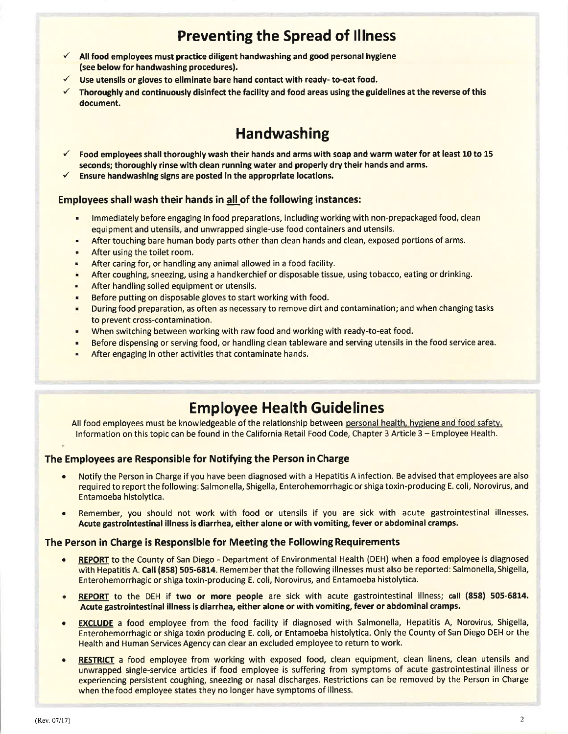## Preventing the Spread of lllness

- $\checkmark$  All food employees must practice diligent handwashing and good personal hygiene (see below for handwashing procedures).
- Use utensils or gloves to eliminate bare hand contact with ready- to-eat food.
- $\checkmark$  Thoroughly and continuously disinfect the facility and food areas using the guidelines at the reverse of this document.

# **Handwashing**

- Food employees shall thoroughly wash their hands and arms with soap and warm water for at least 10 to 15 seconds; thoroughly rinse with clean running water and properly dry their hands and arms.<br>Ensure handwashing signs are posted in the appropriate locations.
- 

### Employees shall wash their hands in all of the following instances:

- . lmmediately before engaging in food preparations, including working with non-prepackaged food, clean equipment and utensils, and unwrapped single-use food containers and utensils.
- . After touching bare human body parts other than clean hands and clean, exposed portions ofarms.
- . After using the toilet room.
- . After caring for, or handling any animal allowed in a food facility.
- **After coughing, sneezing, using a handkerchief or disposable tissue, using tobacco, eating or drinking.**
- . After handling soiled equipment or utensils.
- . Before putting on disposable gloves to start working with food.
- . During food preparation, as often as necessary to remove dirt and contamination; and when changing tasks to prevent cross-contamination.
- . When switching between working with raw food and working with ready-to-eat food.
- . Before dispensing or serving food, or handling clean tableware and serving utensils in the food service area.
- . After engaging in other activities that contaminate hands.

### Employee Health Guidelines

All food employees must be knowledgeable of the relationship between personal health, hygiene and food safety. lnformation on this topic can be found in the California Retail Food Code, Chapter 3 Article 3 - Employee Health.

### The Employees are Responsible for Notifying the Person in Charge

- Notify the Person in Charge if you have been diagnosed with a Hepatitis A infection. Be advised that employees are also required to report the following: Salmonella, Shigella, Enterohemorrhagic or shiga toxin-producing E. coli, Norovirus, and Entamoeba histolytica.
- Remember, you should not work with food or utensils if you are sick with acute gastrointestinal illnesses. Acute gastrointestinal illness is diarrhea, either alone or with vomiting, fever or abdominal cramps.

#### The Person in Charge is Responsible for Meeting the Following Requirements

- REPORT to the County of San Diego Department of Environmental Health (DEH) when a food employee is diagnosed with Hepatitis A. Call (858) 505-6814. Remember that the following illnesses must also be reported: Salmonella, Shigella, Enterohemorrhagic or shiga toxin-producing E. coli, Norovirus, and Entamoeba histolytica.
- REPORT to the DEH if two or more people are sick with acute gastrointestinal illness; call (858) 505-6814. Acute gastrointestinal illness is diarrhea, either alone or with vomiting, fever or abdominal cramps.
- **EXCLUDE** a food employee from the food facility if diagnosed with Salmonella, Hepatitis A, Norovirus, Shigella, Enterohemorrhagic or shiga toxin producing E. coli, or Entamoeba histolytica. Only the County of San Diego DEH or the Health and Human Services Agency can clear an excluded employee to return to work.
- RESTRICT a food employee from working with exposed food, clean equipment, clean linens, clean utensils and unwrapped single-service articles if food employee is suffering from symptoms of acute gastrointestinal illness or experiencing persistent coughing, sneezing or nasal discharges. Restrictions can be removed by the Person in Charge when the food employee states they no longer have symptoms of illness.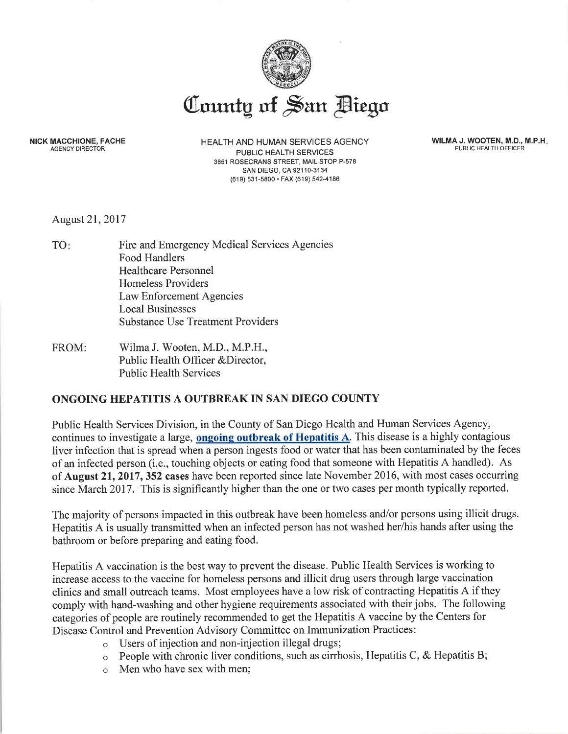

NICK MACCHIONE, FACHE AGENCY DIRECTOR

HEALTH AND HUMAN SERVICES AGENCY PUBLIC HEALTH SERVICES 3851 ROSECRANS STREET, MAIL STOP P-578 sAN DIEGO, CA 921 10-3134 (619) 531-5800. FAX (619) 542-4186

WILMA J, WOOTEN, M.D., M.P.H PUBLIC HEALTH OFFICER

August 21,2017

- TO Fire and Emergency Medical Services Agencies Food Handlers Healthcare Personnel Homeless Providers Law Enforcement Agencies Local Businesses Substance Use Treatment Providers
- FROM: Wilma J. Wooten, M.D., M.P.H., Public Health Officer &Director, Public Health Services

### ONGOING HEPATITIS A OUTBREAK IN SAN DIEGO COUNTY

Public Health Services Division, in the County of San Diego Health and Human Services Agency, continues to investigate a large, **ongoing outbreak of Hepatitis A**. This disease is a highly contagious liver infection that is spread when a person ingests food or water that has been contaminated by the feces of an infected person (i.e., touching objects or eating food that someone with Hepatitis A handled). As of **August 21, 2017, 352 cases** have been reported since late November 2016, with most cases occurring since March 2017. This is significantly higher than the one or two cases per month typically reported.

The majority of persons impacted in this outbreak have been homeless and/or persons using illicit drugs. Hepatitis A is usually transmitted when an infected person has not washed her/his hands after using the bathroom or before preparing and eating food.

Hepatitis A vaccination is the best way to prevent the disease. Public Health Services is working to increase access to the vaccine for homeless persons and illicit drug users through large vaccination clinics and small outreach teams. Most employees have a low risk of contracting Hepatitis A if they comply with hand-washing and other hygiene requirements associated with their jobs. The following categories of people are routinely recommended to get the Hepatitis A vaccine by the Centers for Disease Control and Prevention Advisory Committee on Immunization Practices:

- o Users of injection and non-injection illegal drugs;
- $\circ$  People with chronic liver conditions, such as cirrhosis, Hepatitis C, & Hepatitis B;
- o Men who have sex with men;